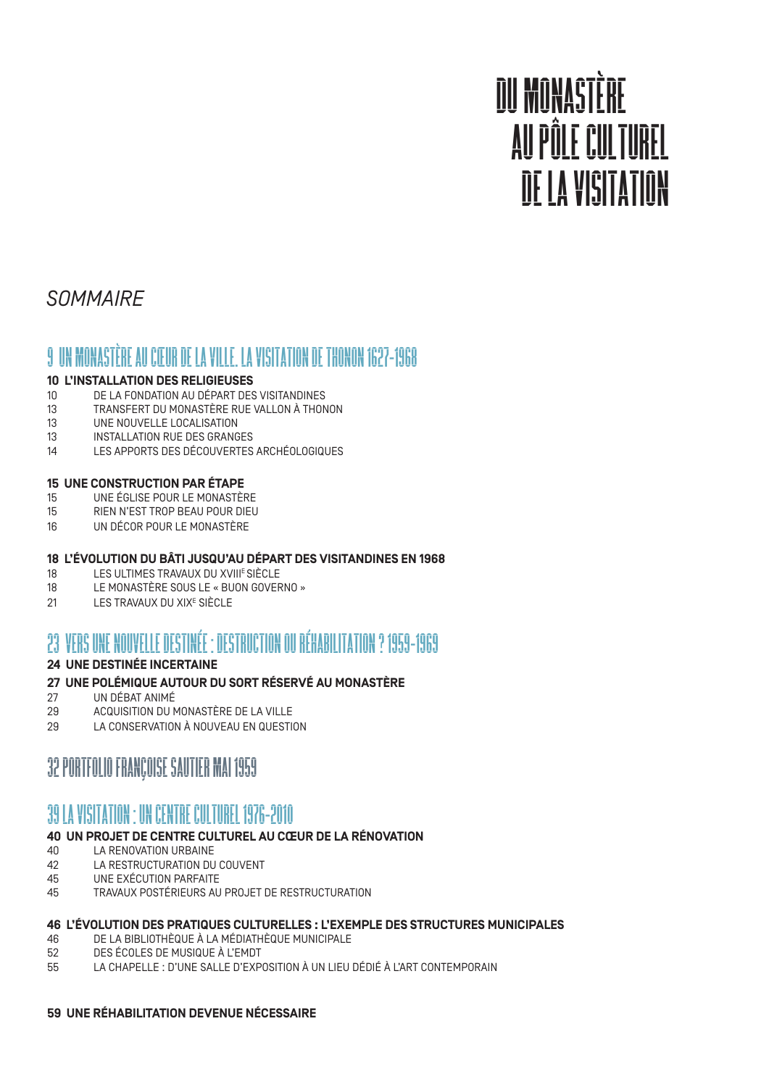# DU MONASTÈRE AU PÔLE CULTUREL DE LA VISITATION

# *SOMMAIRE*

### 9 UN MONASTÈRE AU CŒUR DE LA VILLE. LA VISITATION DE THONON 1627-1968

#### **10 L'INSTALLATION DES RELIGIEUSES**

- 10 DE LA FONDATION AU DÉPART DES VISITANDINES
- 13 TRANSFERT DU MONASTÈRE RUE VALLON À THONON
- 13 UNE NOUVELLE LOCALISATION
- 13 INSTALLATION RUE DES GRANGES
- 14 LES APPORTS DES DÉCOUVERTES ARCHÉOLOGIQUES

#### **15 UNE CONSTRUCTION PAR ÉTAPE**

- 15 UNE ÉGLISE POUR LE MONASTÈRE
- 15 RIEN N'EST TROP BEAU POUR DIEU
- 16 UN DÉCOR POUR LE MONASTÈRE

# **18 L'ÉVOLUTION DU BÂTI JUSQU'AU DÉPART DES VISITANDINES EN 1968**

- 18 LES ULTIMES TRAVAUX DU XVIII<sup>E</sup> SIÈCLE<br>18 LE MONASTÈRE SOUS LE « BUON GOVER
- LE MONASTÈRE SOUS LE « BUON GOVERNO »
- 21 LES TRAVAUX DU XIXE SIÈCLE

# 23 VERS UNE NOUVELLE DESTINÉE : DESTRUCTION OU RÉHABILITATION ? 1959-1969

#### **24 UNE DESTINÉE INCERTAINE**

#### **27 UNE POLÉMIQUE AUTOUR DU SORT RÉSERVÉ AU MONASTÈRE**

- 27 UN DÉBAT ANIMÉ
- 29 ACQUISITION DU MONASTÈRE DE LA VILLE
- 29 LA CONSERVATION À NOUVEAU EN QUESTION

### 32 PORTFOLIO FRANÇOISE SAUTIER MAI 1959

# 39 LA VISITATION : UN CENTRE CULTUREL 1976-2010

#### **40 UN PROJET DE CENTRE CULTUREL AU CŒUR DE LA RÉNOVATION**

- 40 LA RENOVATION URBAINE
- 42 LA RESTRUCTURATION DU COUVENT 45 UNE EXÉCUTION PARFAITE
- 45 TRAVAUX POSTÉRIEURS AU PROJET DE RESTRUCTURATION

# **46 L'ÉVOLUTION DES PRATIQUES CULTURELLES : L'EXEMPLE DES STRUCTURES MUNICIPALES**

- DE LA BIBLIOTHÈQUE À LA MÉDIATHÈQUE MUNICIPALE
- 52 DES ÉCOLES DE MUSIQUE À L'EMDT
- 55 LA CHAPELLE : D'UNE SALLE D'EXPOSITION À UN LIEU DÉDIÉ À L'ART CONTEMPORAIN

#### **59 UNE RÉHABILITATION DEVENUE NÉCESSAIRE**